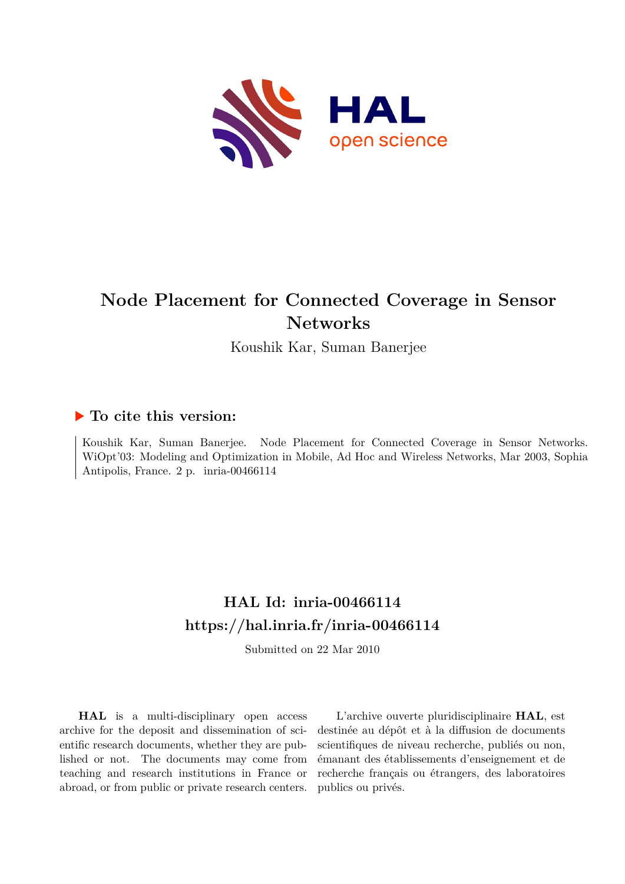

# **Node Placement for Connected Coverage in Sensor Networks**

Koushik Kar, Suman Banerjee

### **To cite this version:**

Koushik Kar, Suman Banerjee. Node Placement for Connected Coverage in Sensor Networks. WiOpt'03: Modeling and Optimization in Mobile, Ad Hoc and Wireless Networks, Mar 2003, Sophia Antipolis, France. 2 p. inria-00466114

## **HAL Id: inria-00466114 <https://hal.inria.fr/inria-00466114>**

Submitted on 22 Mar 2010

**HAL** is a multi-disciplinary open access archive for the deposit and dissemination of scientific research documents, whether they are published or not. The documents may come from teaching and research institutions in France or abroad, or from public or private research centers.

L'archive ouverte pluridisciplinaire **HAL**, est destinée au dépôt et à la diffusion de documents scientifiques de niveau recherche, publiés ou non, émanant des établissements d'enseignement et de recherche français ou étrangers, des laboratoires publics ou privés.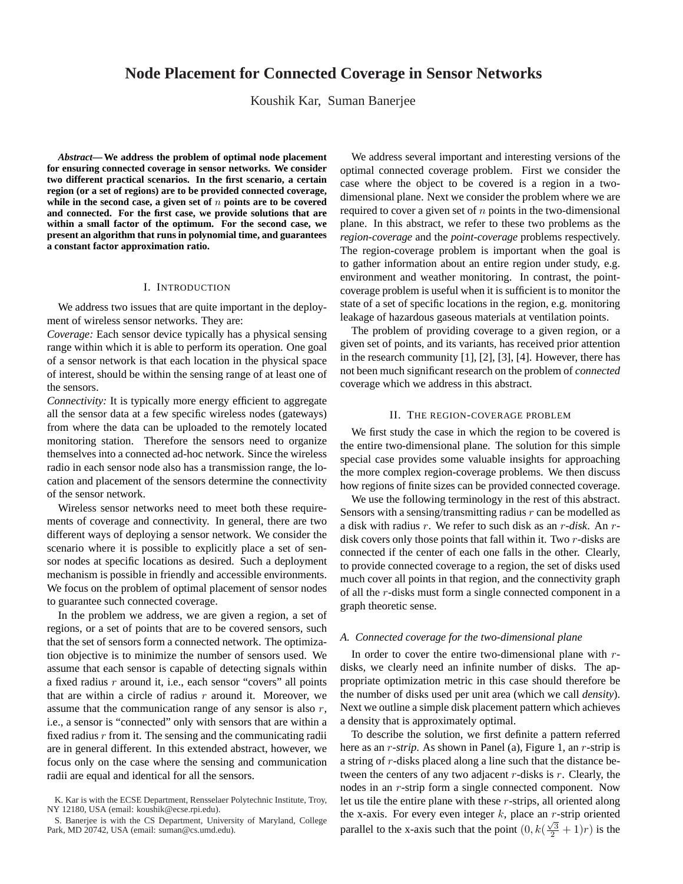### **Node Placement for Connected Coverage in Sensor Networks**

Koushik Kar, Suman Banerjee

*Abstract***— We address the problem of optimal node placement for ensuring connected coverage in sensor networks. We consider two different practical scenarios. In the first scenario, a certain region (or a set of regions) are to be provided connected coverage, while in the second case, a given set of** n **points are to be covered and connected. For the first case, we provide solutions that are within a small factor of the optimum. For the second case, we present an algorithm that runs in polynomial time, and guarantees a constant factor approximation ratio.**

#### I. INTRODUCTION

We address two issues that are quite important in the deployment of wireless sensor networks. They are:

*Coverage:* Each sensor device typically has a physical sensing range within which it is able to perform its operation. One goal of a sensor network is that each location in the physical space of interest, should be within the sensing range of at least one of the sensors.

*Connectivity:* It is typically more energy efficient to aggregate all the sensor data at a few specific wireless nodes (gateways) from where the data can be uploaded to the remotely located monitoring station. Therefore the sensors need to organize themselves into a connected ad-hoc network. Since the wireless radio in each sensor node also has a transmission range, the location and placement of the sensors determine the connectivity of the sensor network.

Wireless sensor networks need to meet both these requirements of coverage and connectivity. In general, there are two different ways of deploying a sensor network. We consider the scenario where it is possible to explicitly place a set of sensor nodes at specific locations as desired. Such a deployment mechanism is possible in friendly and accessible environments. We focus on the problem of optimal placement of sensor nodes to guarantee such connected coverage.

In the problem we address, we are given a region, a set of regions, or a set of points that are to be covered sensors, such that the set of sensors form a connected network. The optimization objective is to minimize the number of sensors used. We assume that each sensor is capable of detecting signals within a fixed radius  $r$  around it, i.e., each sensor "covers" all points that are within a circle of radius  $r$  around it. Moreover, we assume that the communication range of any sensor is also r, i.e., a sensor is "connected" only with sensors that are within a fixed radius  $r$  from it. The sensing and the communicating radii are in general different. In this extended abstract, however, we focus only on the case where the sensing and communication radii are equal and identical for all the sensors.

We address several important and interesting versions of the optimal connected coverage problem. First we consider the case where the object to be covered is a region in a twodimensional plane. Next we consider the problem where we are required to cover a given set of  $n$  points in the two-dimensional plane. In this abstract, we refer to these two problems as the *region-coverage* and the *point-coverage* problems respectively. The region-coverage problem is important when the goal is to gather information about an entire region under study, e.g. environment and weather monitoring. In contrast, the pointcoverage problem is useful when it is sufficient is to monitor the state of a set of specific locations in the region, e.g. monitoring leakage of hazardous gaseous materials at ventilation points.

The problem of providing coverage to a given region, or a given set of points, and its variants, has received prior attention in the research community [1], [2], [3], [4]. However, there has not been much significant research on the problem of *connected* coverage which we address in this abstract.

#### II. THE REGION-COVERAGE PROBLEM

We first study the case in which the region to be covered is the entire two-dimensional plane. The solution for this simple special case provides some valuable insights for approaching the more complex region-coverage problems. We then discuss how regions of finite sizes can be provided connected coverage.

We use the following terminology in the rest of this abstract. Sensors with a sensing/transmitting radius  $r$  can be modelled as a disk with radius r. We refer to such disk as an r-*disk*. An rdisk covers only those points that fall within it. Two r-disks are connected if the center of each one falls in the other. Clearly, to provide connected coverage to a region, the set of disks used much cover all points in that region, and the connectivity graph of all the r-disks must form a single connected component in a graph theoretic sense.

#### *A. Connected coverage for the two-dimensional plane*

In order to cover the entire two-dimensional plane with  $r$ disks, we clearly need an infinite number of disks. The appropriate optimization metric in this case should therefore be the number of disks used per unit area (which we call *density*). Next we outline a simple disk placement pattern which achieves a density that is approximately optimal.

To describe the solution, we first definite a pattern referred here as an *r*-*strip*. As shown in Panel (a), Figure 1, an *r*-strip is a string of r-disks placed along a line such that the distance between the centers of any two adjacent  $r$ -disks is  $r$ . Clearly, the nodes in an r-strip form a single connected component. Now let us tile the entire plane with these r-strips, all oriented along the x-axis. For every even integer k, place an r-strip oriented parallel to the x-axis such that the point  $(0, k(\frac{\sqrt{3}}{2} + 1)r)$  is the

K. Kar is with the ECSE Department, Rensselaer Polytechnic Institute, Troy, NY 12180, USA (email: koushik@ecse.rpi.edu).

S. Banerjee is with the CS Department, University of Maryland, College Park, MD 20742, USA (email: suman@cs.umd.edu).